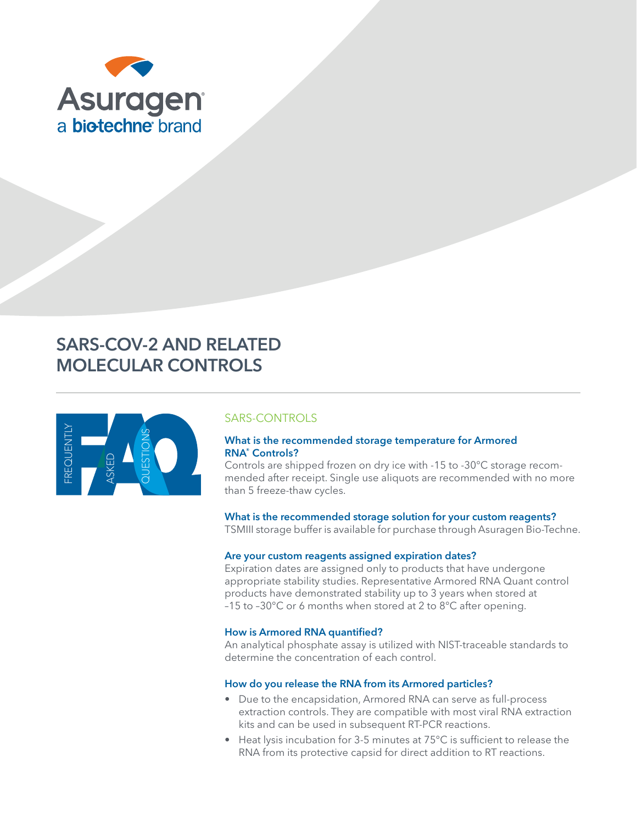

# SARS-COV-2 AND RELATED MOLECULAR CONTROLS



# SARS-CONTROLS

# What is the recommended storage temperature for Armored RNA® Controls?

Controls are shipped frozen on dry ice with -15 to -30°C storage recommended after receipt. Single use aliquots are recommended with no more than 5 freeze-thaw cycles.

# What is the recommended storage solution for your custom reagents?

TSMIII storage buffer is available for purchase through Asuragen Bio-Techne.

# Are your custom reagents assigned expiration dates?

Expiration dates are assigned only to products that have undergone appropriate stability studies. Representative Armored RNA Quant control products have demonstrated stability up to 3 years when stored at –15 to –30°C or 6 months when stored at 2 to 8°C after opening.

# How is Armored RNA quantified?

An analytical phosphate assay is utilized with NIST-traceable standards to determine the concentration of each control.

# How do you release the RNA from its Armored particles?

- Due to the encapsidation, Armored RNA can serve as full-process extraction controls. They are compatible with most viral RNA extraction kits and can be used in subsequent RT-PCR reactions.
- Heat lysis incubation for 3-5 minutes at 75°C is sufficient to release the RNA from its protective capsid for direct addition to RT reactions.